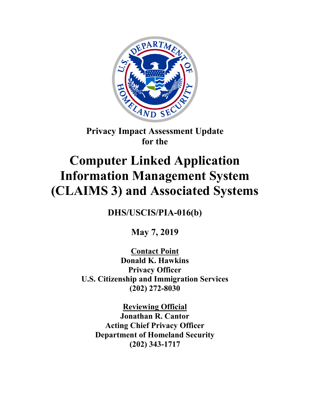

**Privacy Impact Assessment Update for the**

# **Computer Linked Application Information Management System (CLAIMS 3) and Associated Systems**

**DHS/USCIS/PIA-016(b)**

**May 7, 2019**

**Contact Point Donald K. Hawkins Privacy Officer U.S. Citizenship and Immigration Services (202) 272-8030**

**Reviewing Official Jonathan R. Cantor Acting Chief Privacy Officer Department of Homeland Security (202) 343-1717**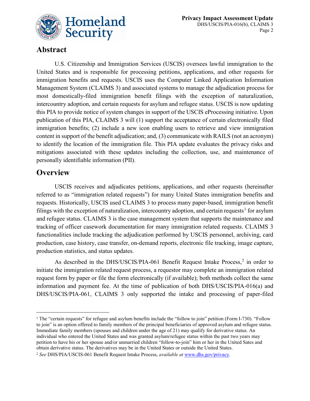

# **Abstract**

U.S. Citizenship and Immigration Services (USCIS) oversees lawful immigration to the United States and is responsible for processing petitions, applications, and other requests for immigration benefits and requests. USCIS uses the Computer Linked Application Information Management System (CLAIMS 3) and associated systems to manage the adjudication process for most domestically-filed immigration benefit filings with the exception of naturalization, intercountry adoption, and certain requests for asylum and refugee status. USCIS is now updating this PIA to provide notice of system changes in support of the USCIS eProcessing initiative. Upon publication of this PIA, CLAIMS 3 will (1) support the acceptance of certain electronically filed immigration benefits; (2) include a new icon enabling users to retrieve and view immigration content in support of the benefit adjudication; and, (3) communicate with RAILS (not an acronym) to identify the location of the immigration file. This PIA update evaluates the privacy risks and mitigations associated with these updates including the collection, use, and maintenance of personally identifiable information (PII).

## **Overview**

 $\overline{a}$ 

USCIS receives and adjudicates petitions, applications, and other requests (hereinafter referred to as "immigration related requests") for many United States immigration benefits and requests. Historically, USCIS used CLAIMS 3 to process many paper-based, immigration benefit filings with the exception of naturalization, intercountry adoption, and certain requests<sup>[1](#page-1-0)</sup> for asylum and refugee status. CLAIMS 3 is the case management system that supports the maintenance and tracking of officer casework documentation for many immigration related requests. CLAIMS 3 functionalities include tracking the adjudication performed by USCIS personnel, archiving, card production, case history, case transfer, on-demand reports, electronic file tracking, image capture, production statistics, and status updates.

As described in the DHS/USCIS/PIA-061 Benefit Request Intake Process,<sup>[2](#page-1-1)</sup> in order to initiate the immigration related request process, a requestor may complete an immigration related request form by paper or file the form electronically (if available); both methods collect the same information and payment fee. At the time of publication of both DHS/USCIS/PIA-016(a) and DHS/USCIS/PIA-061, CLAIMS 3 only supported the intake and processing of paper-filed

<span id="page-1-0"></span><sup>&</sup>lt;sup>1</sup> The "certain requests" for refugee and asylum benefits include the "follow to join" petition (Form I-730). "Follow to join" is an option offered to family members of the principal beneficiaries of approved asylum and refugee status. Immediate family members (spouses and children under the age of 21) may qualify for derivative status. An individual who entered the United States and was granted asylum/refugee status within the past two years may petition to have his or her spouse and/or unmarried children "follow-to-join" him or her in the United Sates and obtain derivative status. The derivatives may be in the United States or outside the United States.

<span id="page-1-1"></span><sup>2</sup> *See* DHS/PIA/USCIS-061 Benefit Request Intake Process, *available at* [www.dhs.gov/privacy.](http://www.dhs.gov/privacy)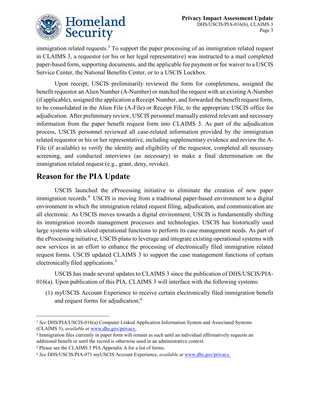

immigration related requests.<sup>[3](#page-2-0)</sup> To support the paper processing of an immigration related request in CLAIMS 3, a requestor (or his or her legal representative) was instructed to a mail completed paper-based form, supporting documents, and the applicable fee payment or fee waiver to a USCIS Service Center, the National Benefits Center, or to a USCIS Lockbox.

Upon receipt, USCIS preliminarily reviewed the form for completeness, assigned the benefit requestor an Alien Number (A-Number) or matched the request with an existing A-Number (if applicable), assigned the application a Receipt Number, and forwarded the benefit request form, to be consolidated in the Alien File (A-File) or Receipt File, to the appropriate USCIS office for adjudication. After preliminary review, USCIS personnel manually entered relevant and necessary information from the paper benefit request form into CLAIMS 3. As part of the adjudication process, USCIS personnel reviewed all case-related information provided by the immigration related requestor or his or her representative, including supplementary evidence and review the A-File (if available) to verify the identity and eligibility of the requestor, completed all necessary screening, and conducted interviews (as necessary) to make a final determination on the immigration related request (e.g., grant, deny, revoke).

# **Reason for the PIA Update**

USCIS launched the eProcessing initiative to eliminate the creation of new paper immigration records.<sup>[4](#page-2-1)</sup> USCIS is moving from a traditional paper-based environment to a digital environment in which the immigration related request filing, adjudication, and communication are all electronic. As USCIS moves towards a digital environment, USCIS is fundamentally shifting its immigration records management processes and technologies. USCIS has historically used large systems with siloed operational functions to perform its case management needs. As part of the eProcessing initiative, USCIS plans to leverage and integrate existing operational systems with new services in an effort to enhance the processing of electronically filed immigration related request forms. USCIS updated CLAIMS 3 to support the case management functions of certain electronically filed applications.<sup>[5](#page-2-2)</sup>

USCIS has made several updates to CLAIMS 3 since the publication of DHS/USCIS/PIA-016(a). Upon publication of this PIA, CLAIMS 3 will interface with the following systems:

(1) myUSCIS Account Experience to receive certain electronically filed immigration benefit and request forms for adjudication;<sup>[6](#page-2-3)</sup>

 $\overline{a}$ 

<span id="page-2-0"></span><sup>3</sup> *See* DHS/PIA/USCIS-016(a) Computer Linked Application Information System and Associated Systems (CLAIMS 3), *available at* [www.dhs.gov/privacy.](http://www.dhs.gov/privacy)

<span id="page-2-1"></span><sup>4</sup> Immigration files currently in paper form will remain as such until an individual affirmatively requests an additional benefit or until the record is otherwise used in an administrative context.

<span id="page-2-2"></span><sup>5</sup> Please see the CLAIMS 3 PIA Appendix A for a list of forms.

<span id="page-2-3"></span><sup>6</sup> *See* DHS/USCIS/PIA-071 myUSCIS Account Experience, *available at* [www.dhs.gov/privacy.](http://www.dhs.gov/privacy)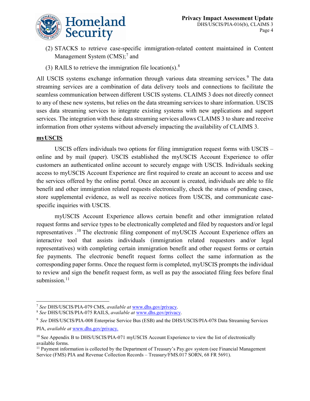- (2) STACKS to retrieve case-specific immigration-related content maintained in Content Management System (CMS);<sup>[7](#page-3-0)</sup> and
- (3) RAILS to retrieve the immigration file location(s). $8$

All USCIS systems exchange information through various data streaming services.<sup>[9](#page-3-2)</sup> The data streaming services are a combination of data delivery tools and connections to facilitate the seamless communication between different USCIS systems. CLAIMS 3 does not directly connect to any of these new systems, but relies on the data streaming services to share information. USCIS uses data streaming services to integrate existing systems with new applications and support services. The integration with these data streaming services allows CLAIMS 3 to share and receive information from other systems without adversely impacting the availability of CLAIMS 3.

## **myUSCIS**

 $\overline{a}$ 

USCIS offers individuals two options for filing immigration request forms with USCIS – online and by mail (paper). USCIS established the myUSCIS Account Experience to offer customers an authenticated online account to securely engage with USCIS. Individuals seeking access to myUSCIS Account Experience are first required to create an account to access and use the services offered by the online portal. Once an account is created, individuals are able to file benefit and other immigration related requests electronically, check the status of pending cases, store supplemental evidence, as well as receive notices from USCIS, and communicate casespecific inquiries with USCIS.

myUSCIS Account Experience allows certain benefit and other immigration related request forms and service types to be electronically completed and filed by requestors and/or legal representatives .<sup>[10](#page-3-3)</sup> The electronic filing component of myUSCIS Account Experience offers an interactive tool that assists individuals (immigration related requestors and/or legal representatives) with completing certain immigration benefit and other request forms or certain fee payments. The electronic benefit request forms collect the same information as the corresponding paper forms. Once the request form is completed, myUSCIS prompts the individual to review and sign the benefit request form, as well as pay the associated filing fees before final submission.<sup>[11](#page-3-4)</sup>

<span id="page-3-0"></span><sup>7</sup> *See* DHS/USCIS/PIA-079 CMS, *available at* [www.dhs.gov/privacy.](http://www.dhs.gov/privacy)

<span id="page-3-1"></span><sup>8</sup> *See* DHS/USCIS/PIA-075 RAILS, *available at* [www.dhs.gov/privacy.](http://www.dhs.gov/privacy)

<span id="page-3-2"></span><sup>9</sup> *See* DHS/USCIS/PIA-008 Enterprise Service Bus (ESB) and the DHS/USCIS/PIA-078 Data Streaming Services PIA, *available at* [www.dhs.gov/privacy.](http://www.dhs.gov/privacy)

<span id="page-3-3"></span><sup>&</sup>lt;sup>10</sup> See Appendix B to DHS/USCIS/PIA-071 myUSCIS Account Experience to view the list of electronically available forms.

<span id="page-3-4"></span><sup>&</sup>lt;sup>11</sup> Payment information is collected by the Department of Treasury's Pay.gov system (see Financial Management Service (FMS) PIA and Revenue Collection Records – Treasury/FMS.017 SORN, 68 FR 5691).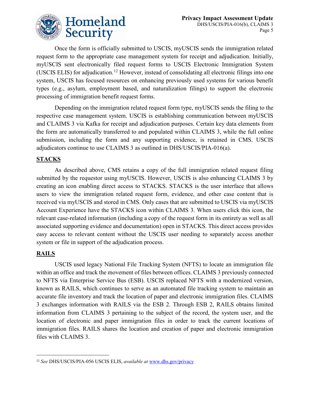

Once the form is officially submitted to USCIS, myUSCIS sends the immigration related request form to the appropriate case management system for receipt and adjudication. Initially, myUSCIS sent electronically filed request forms to USCIS Electronic Immigration System (USCIS ELIS) for adjudication.<sup>[12](#page-4-0)</sup> However, instead of consolidating all electronic filings into one system, USCIS has focused resources on enhancing previously used systems for various benefit types (e.g., asylum, employment based, and naturalization filings) to support the electronic processing of immigration benefit request forms.

Depending on the immigration related request form type, myUSCIS sends the filing to the respective case management system. USCIS is establishing communication between myUSCIS and CLAIMS 3 via Kafka for receipt and adjudication purposes. Certain key data elements from the form are automatically transferred to and populated within CLAIMS 3, while the full online submission, including the form and any supporting evidence, is retained in CMS. USCIS adjudicators continue to use CLAIMS 3 as outlined in DHS/USCIS/PIA-016(a).

## **STACKS**

As described above, CMS retains a copy of the full immigration related request filing submitted by the requestor using myUSCIS. However, USCIS is also enhancing CLAIMS 3 by creating an icon enabling direct access to STACKS. STACKS is the user interface that allows users to view the immigration related request form, evidence, and other case content that is received via myUSCIS and stored in CMS. Only cases that are submitted to USCIS via myUSCIS Account Experience have the STACKS icon within CLAIMS 3. When users click this icon, the relevant case-related information (including a copy of the request form in its entirety as well as all associated supporting evidence and documentation) open in STACKS. This direct access provides easy access to relevant content without the USCIS user needing to separately access another system or file in support of the adjudication process.

## **RAILS**

 $\overline{a}$ 

USCIS used legacy National File Tracking System (NFTS) to locate an immigration file within an office and track the movement of files between offices. CLAIMS 3 previously connected to NFTS via Enterprise Service Bus (ESB). USCIS replaced NFTS with a modernized version, known as RAILS, which continues to serve as an automated file tracking system to maintain an accurate file inventory and track the location of paper and electronic immigration files. CLAIMS 3 exchanges information with RAILS via the ESB 2. Through ESB 2, RAILS obtains limited information from CLAIMS 3 pertaining to the subject of the record, the system user, and the location of electronic and paper immigration files in order to track the current locations of immigration files. RAILS shares the location and creation of paper and electronic immigration files with CLAIMS 3.

<span id="page-4-0"></span><sup>12</sup> *See* DHS/USCIS/PIA-056 USCIS ELIS, *available at* [www.dhs.gov/privacy](http://www.dhs.gov/privacy)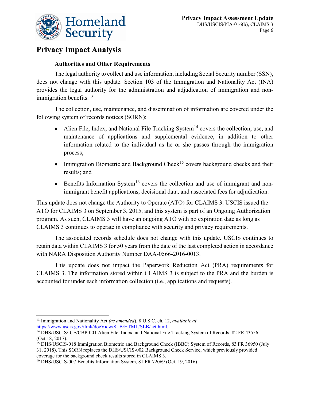

# **Privacy Impact Analysis**

## **Authorities and Other Requirements**

The legal authority to collect and use information, including Social Security number (SSN), does not change with this update. Section 103 of the Immigration and Nationality Act (INA) provides the legal authority for the administration and adjudication of immigration and nonimmigration benefits. $^{13}$  $^{13}$  $^{13}$ 

The collection, use, maintenance, and dissemination of information are covered under the following system of records notices (SORN):

- Alien File, Index, and National File Tracking System<sup>[14](#page-5-1)</sup> covers the collection, use, and maintenance of applications and supplemental evidence, in addition to other information related to the individual as he or she passes through the immigration process;
- Immigration Biometric and Background Check<sup>[15](#page-5-2)</sup> covers background checks and their results; and
- Benefits Information System<sup>[16](#page-5-3)</sup> covers the collection and use of immigrant and nonimmigrant benefit applications, decisional data, and associated fees for adjudication.

This update does not change the Authority to Operate (ATO) for CLAIMS 3. USCIS issued the ATO for CLAIMS 3 on September 3, 2015, and this system is part of an Ongoing Authorization program. As such, CLAIMS 3 will have an ongoing ATO with no expiration date as long as CLAIMS 3 continues to operate in compliance with security and privacy requirements.

The associated records schedule does not change with this update. USCIS continues to retain data within CLAIMS 3 for 50 years from the date of the last completed action in accordance with NARA Disposition Authority Number DAA-0566-2016-0013.

This update does not impact the Paperwork Reduction Act (PRA) requirements for CLAIMS 3. The information stored within CLAIMS 3 is subject to the PRA and the burden is accounted for under each information collection (i.e., applications and requests).

 $\overline{a}$ 

<span id="page-5-0"></span><sup>13</sup> Immigration and Nationality Act *(as amended*), 8 U.S.C. ch. 12, *available at* [https://www.uscis.gov/ilink/docView/SLB/HTML/SLB/act.html.](https://www.uscis.gov/ilink/docView/SLB/HTML/SLB/act.html)

<span id="page-5-1"></span><sup>&</sup>lt;sup>14</sup> DHS/USCIS/ICE/CBP-001 Alien File, Index, and National File Tracking System of Records, 82 FR 43556 (Oct.18, 2017).

<span id="page-5-2"></span><sup>&</sup>lt;sup>15</sup> DHS/USCIS-018 Immigration Biometric and Background Check (IBBC) System of Records, 83 FR 36950 (July 31, 2018). This SORN replaces the DHS/USCIS-002 Background Check Service, which previously provided coverage for the background check results stored in CLAIMS 3.

<span id="page-5-3"></span><sup>16</sup> DHS/USCIS-007 Benefits Information System, 81 FR 72069 (Oct. 19, 2016)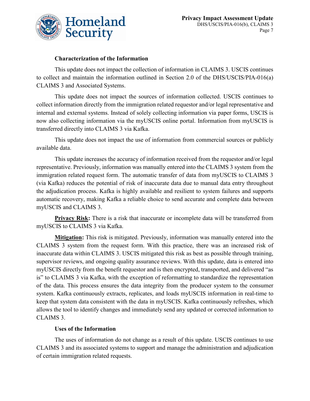

#### **Characterization of the Information**

This update does not impact the collection of information in CLAIMS 3. USCIS continues to collect and maintain the information outlined in Section 2.0 of the DHS/USCIS/PIA-016(a) CLAIMS 3 and Associated Systems.

This update does not impact the sources of information collected. USCIS continues to collect information directly from the immigration related requestor and/or legal representative and internal and external systems. Instead of solely collecting information via paper forms, USCIS is now also collecting information via the myUSCIS online portal. Information from myUSCIS is transferred directly into CLAIMS 3 via Kafka.

This update does not impact the use of information from commercial sources or publicly available data.

This update increases the accuracy of information received from the requestor and/or legal representative. Previously, information was manually entered into the CLAIMS 3 system from the immigration related request form. The automatic transfer of data from myUSCIS to CLAIMS 3 (via Kafka) reduces the potential of risk of inaccurate data due to manual data entry throughout the adjudication process. Kafka is highly available and resilient to system failures and supports automatic recovery, making Kafka a reliable choice to send accurate and complete data between myUSCIS and CLAIMS 3.

**Privacy Risk:** There is a risk that inaccurate or incomplete data will be transferred from myUSCIS to CLAIMS 3 via Kafka.

**Mitigation:** This risk is mitigated. Previously, information was manually entered into the CLAIMS 3 system from the request form. With this practice, there was an increased risk of inaccurate data within CLAIMS 3. USCIS mitigated this risk as best as possible through training, supervisor reviews, and ongoing quality assurance reviews. With this update, data is entered into myUSCIS directly from the benefit requestor and is then encrypted, transported, and delivered "as is" to CLAIMS 3 via Kafka, with the exception of reformatting to standardize the representation of the data. This process ensures the data integrity from the producer system to the consumer system. Kafka continuously extracts, replicates, and loads myUSCIS information in real-time to keep that system data consistent with the data in myUSCIS. Kafka continuously refreshes, which allows the tool to identify changes and immediately send any updated or corrected information to CLAIMS 3.

#### **Uses of the Information**

The uses of information do not change as a result of this update. USCIS continues to use CLAIMS 3 and its associated systems to support and manage the administration and adjudication of certain immigration related requests.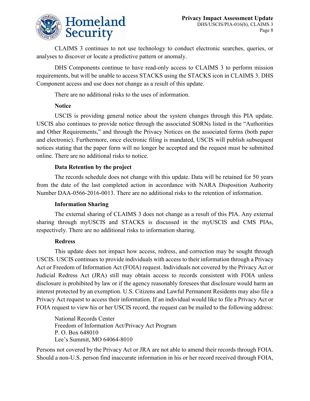

CLAIMS 3 continues to not use technology to conduct electronic searches, queries, or analyses to discover or locate a predictive pattern or anomaly.

DHS Components continue to have read-only access to CLAIMS 3 to perform mission requirements, but will be unable to access STACKS using the STACKS icon in CLAIMS 3. DHS Component access and use does not change as a result of this update.

There are no additional risks to the uses of information.

## **Notice**

USCIS is providing general notice about the system changes through this PIA update. USCIS also continues to provide notice through the associated SORNs listed in the "Authorities and Other Requirements," and through the Privacy Notices on the associated forms (both paper and electronic). Furthermore, once electronic filing is mandated, USCIS will publish subsequent notices stating that the paper form will no longer be accepted and the request must be submitted online. There are no additional risks to notice.

## **Data Retention by the project**

The records schedule does not change with this update. Data will be retained for 50 years from the date of the last completed action in accordance with NARA Disposition Authority Number DAA-0566-2016-0013. There are no additional risks to the retention of information.

#### **Information Sharing**

The external sharing of CLAIMS 3 does not change as a result of this PIA. Any external sharing through myUSCIS and STACKS is discussed in the myUSCIS and CMS PIAs, respectively. There are no additional risks to information sharing.

#### **Redress**

This update does not impact how access, redress, and correction may be sought through USCIS. USCIS continues to provide individuals with access to their information through a Privacy Act or Freedom of Information Act (FOIA) request. Individuals not covered by the Privacy Act or Judicial Redress Act (JRA) still may obtain access to records consistent with FOIA unless disclosure is prohibited by law or if the agency reasonably foresees that disclosure would harm an interest protected by an exemption. U.S. Citizens and Lawful Permanent Residents may also file a Privacy Act request to access their information. If an individual would like to file a Privacy Act or FOIA request to view his or her USCIS record, the request can be mailed to the following address:

National Records Center Freedom of Information Act/Privacy Act Program P. O. Box 648010 Lee's Summit, MO 64064-8010

Persons not covered by the Privacy Act or JRA are not able to amend their records through FOIA. Should a non-U.S. person find inaccurate information in his or her record received through FOIA,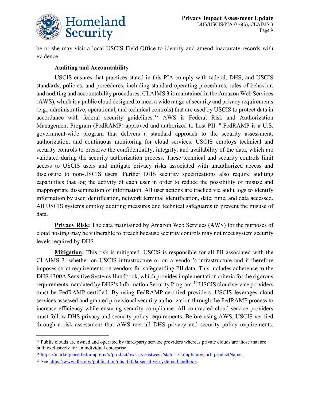

he or she may visit a local USCIS Field Office to identify and amend inaccurate records with evidence.

#### **Auditing and Accountability**

USCIS ensures that practices stated in this PIA comply with federal, DHS, and USCIS standards, policies, and procedures, including standard operating procedures, rules of behavior, and auditing and accountability procedures. CLAIMS 3 is maintained in the Amazon Web Services (AWS), which is a public cloud designed to meet a wide range of security and privacy requirements (e.g., administrative, operational, and technical controls) that are used by USCIS to protect data in accordance with federal security guidelines.[17](#page-8-0) AWS is Federal Risk and Authorization Management Program (FedRAMP)-approved and authorized to host PII.<sup>[18](#page-8-1)</sup> FedRAMP is a U.S. government-wide program that delivers a standard approach to the security assessment, authorization, and continuous monitoring for cloud services. USCIS employs technical and security controls to preserve the confidentiality, integrity, and availability of the data, which are validated during the security authorization process. These technical and security controls limit access to USCIS users and mitigate privacy risks associated with unauthorized access and disclosure to non-USCIS users. Further DHS security specifications also require auditing capabilities that log the activity of each user in order to reduce the possibility of misuse and inappropriate dissemination of information. All user actions are tracked via audit logs to identify information by user identification, network terminal identification, date, time, and data accessed. All USCIS systems employ auditing measures and technical safeguards to prevent the misuse of data.

**Privacy Risk:** The data maintained by Amazon Web Services (AWS) for the purposes of cloud hosting may be vulnerable to breach because security controls may not meet system security levels required by DHS.

**Mitigation:** This risk is mitigated. USCIS is responsible for all PII associated with the CLAIMS 3, whether on USCIS infrastructure or on a vendor's infrastructure and it therefore imposes strict requirements on vendors for safeguarding PII data. This includes adherence to the DHS 4300A Sensitive Systems Handbook, which provides implementation criteria for the rigorous requirements mandated by DHS's Information Security Program.<sup>[19](#page-8-2)</sup> USCIS cloud service providers must be FedRAMP-certified. By using FedRAMP-certified providers, USCIS leverages cloud services assessed and granted provisional security authorization through the FedRAMP process to increase efficiency while ensuring security compliance. All contracted cloud service providers must follow DHS privacy and security policy requirements. Before using AWS, USCIS verified through a risk assessment that AWS met all DHS privacy and security policy requirements.

 $\overline{a}$ 

<span id="page-8-0"></span><sup>&</sup>lt;sup>17</sup> Public clouds are owned and operated by third-party service providers whereas private clouds are those that are built exclusively for an individual enterprise.

<span id="page-8-1"></span><sup>18</sup> [https://marketplace.fedramp.gov/#/product/aws-us-eastwest?status=Compliant&sort=productName.](https://marketplace.fedramp.gov/#/product/aws-us-eastwest?status=Compliant&sort=productName)

<span id="page-8-2"></span><sup>19</sup> See [https://www.dhs.gov/publication/dhs-4300a-sensitive-systems-handbook.](https://www.dhs.gov/publication/dhs-4300a-sensitive-systems-handbook)